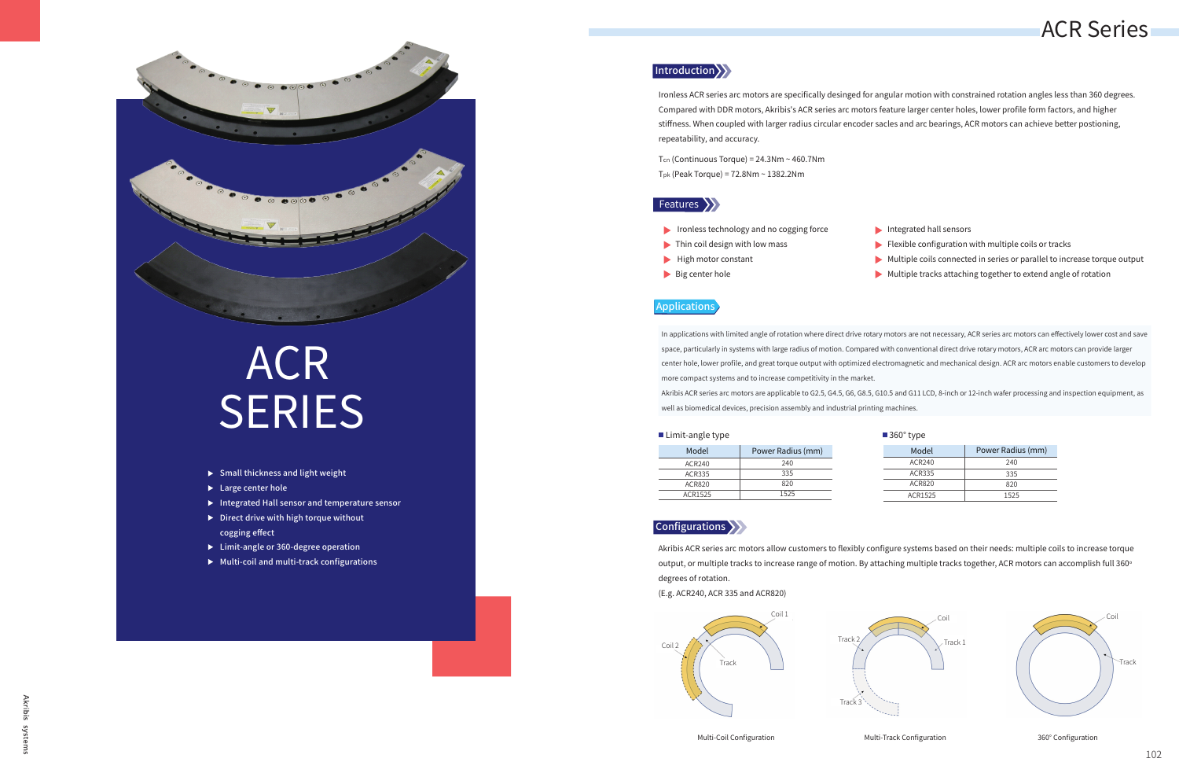

# ACR **SERIES**

- $\triangleright$  Small thickness and light weight
- ▶ Large center hole
- Integrated Hall sensor and temperature sensor
- $\triangleright$  Direct drive with high torque without cogging effect
- ▶ Limit-angle or 360-degree operation
- $\blacktriangleright$  Multi-coil and multi-track configurations

### Introduction >>



Multi-Coil Configuration **Multi-Track Configuration** 360° Configuration



| ■ Limit-angle type |                   | $\blacksquare$ 360 $\degree$ type |                   |
|--------------------|-------------------|-----------------------------------|-------------------|
| Model              | Power Radius (mm) | Model                             | Power Radius (mm) |
| ACR240             | 240               | ACR240                            | 240               |
| <b>ACR335</b>      | 335               | ACR335                            | 335               |
| <b>ACR820</b>      | 820               | ACR820                            | 820               |
| ACR1525            | 1525              | ACR1525                           | 1525              |



Ironless ACR series arc motors are specifically desinged for angular motion with constrained rotation angles less than 360 degrees. Compared with DDR motors, Akribis's ACR series arc motors feature larger center holes, lower profile form factors, and higher stiffness. When coupled with larger radius circular encoder sacles and arc bearings, ACR motors can achieve better postioning, repeatability, and accuracy.

Tcn (Continuous Torque) = 24.3Nm ~ 460.7Nm Tpk (Peak Torque) = 72.8Nm ~ 1382.2Nm

### Features >>>

- Ironless technology and no cogging force  $\blacktriangleright$  Thin coil design with low mass  $\blacktriangleright$  High motor constant Integrated hall sensors  $\blacktriangleright$  Flexible configuration with multiple coils or tracks Multiple coils connected in series or parallel to increase torque output
- Big center hole
	-

In applications with limited angle of rotation where direct drive rotary motors are not necessary, ACR series arc motors can effectively lower cost and save space, particularly in systems with large radius of motion. Compared with conventional direct drive rotary motors, ACR arc motors can provide larger center hole, lower profile, and great torque output with optimized electromagnetic and mechanical design. ACR arc motors enable customers to develop more compact systems and to increase competitivity in the market. Akribis ACR series arc motors are applicable to G2.5, G4.5, G6, G8.5, G10.5 and G11 LCD, 8-inch or 12-inch wafer processing and inspection equipment, as well as biomedical devices, precision assembly and industrial printing machines.

### Applications

Akribis ACR series arc motors allow customers to flexibly configure systems based on their needs: multiple coils to increase torque output, or multiple tracks to increase range of motion. By attaching multiple tracks together, ACR motors can accomplish full 360° degrees of rotation.

(E.g. ACR240, ACR 335 and ACR820)

## ACR Series

- 
- $\blacktriangleright$  Multiple tracks attaching together to extend angle of rotation

| ⊰60° | type |
|------|------|
|      |      |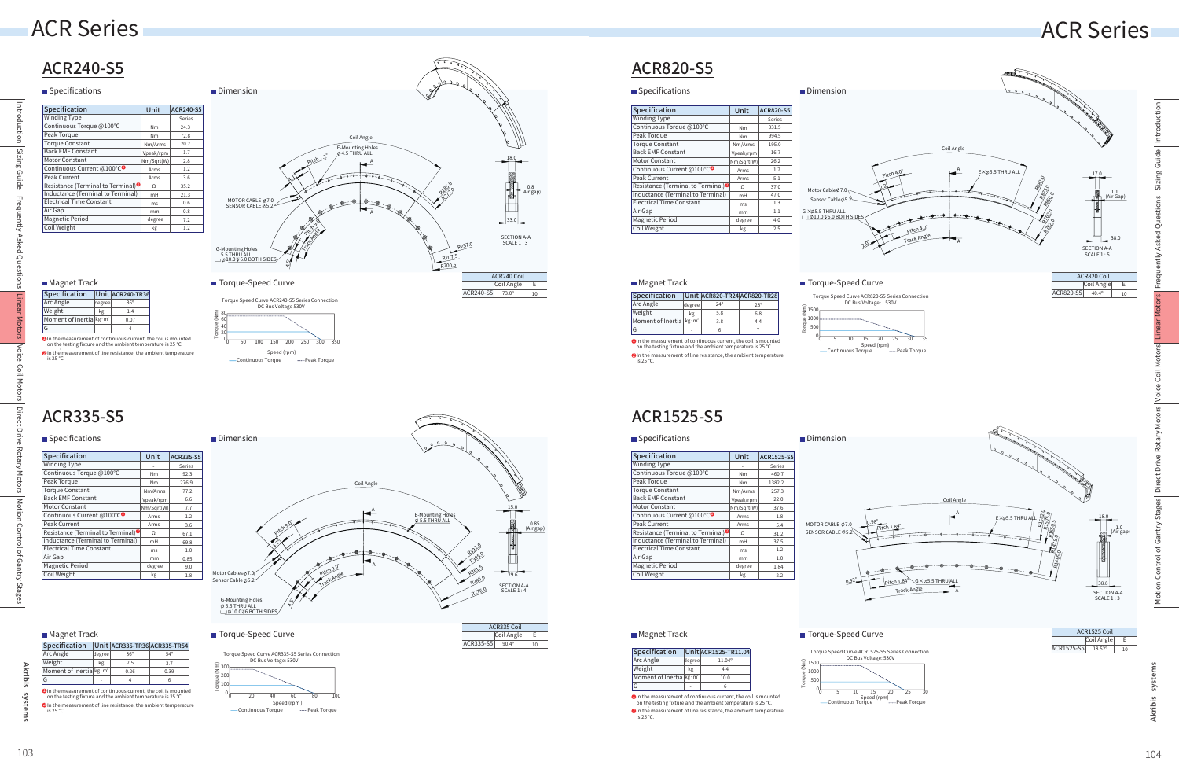ACR335-S5

ACR335 Coil

ACR1525-S5 18.52° 10 Coil Angle E

syst Akribis

ACR335-S5 90.4º

Coil Angle E

10

### ACR820-S5

### **Specifications**

In the measurement of continuous current, the coil is mounted on the testing fixture and the ambient temperature is 25 ℃. 1 ment of line resistance, the ambient temperature is 25 ℃. OIn the mea

### ACR1525-S5

In the measurement of continuous current, the coil is mounted on the testing fixture and the ambient temperature is 25 ℃. 1  $\bullet$  In the measurement of line resistance, the ambient temperature

| Specification                         |        | Unit ACR240-TR36 |
|---------------------------------------|--------|------------------|
| Arc Angle                             | degree | $36^\circ$       |
| Weight                                | kg     | 1.4              |
| Moment of Inertia kg · m <sup>2</sup> |        | 0.07             |
|                                       |        |                  |

Specification Unit ACR335-TR36 ACR335-TR54 Arc Angle **Jeight** Moment of Inertia kg·m<sup>2</sup> G 36º 2.5 0.26 4 54º 3.7 0.39 6 kg degree - In the measurement of continuous current, the coil is mounted on the testing fixture and the ambient temperature is 25 ℃. 1

nent of line resistance, the ambient temperature  $is 25 °C$ . OIn the meas

Āκ sigi

syste

## ACR Series ACR Series

| <b>Specification</b>                |        | <b>Unit ACR1525-TR11.04</b> |
|-------------------------------------|--------|-----------------------------|
| Arc Angle                           | degree | $11.04^{\circ}$             |
| Weight                              | kg     | 4.4                         |
| Moment of Inertia kg·m <sup>2</sup> |        | 10.0                        |
| G                                   |        |                             |
|                                     |        |                             |

is 25 ℃.

| Specification                                                                                                                                |        |            | Unit ACR820-TR24 ACR820-TR28 |  |  |
|----------------------------------------------------------------------------------------------------------------------------------------------|--------|------------|------------------------------|--|--|
| Arc Angle                                                                                                                                    | degree | $24^\circ$ | $28^{\circ}$                 |  |  |
| Weight                                                                                                                                       | kg     | 5.8        | 6.8                          |  |  |
| Moment of Inertia $\frac{kg \cdot m^2}{2}$                                                                                                   |        | 3.8        | 4.4                          |  |  |
| G                                                                                                                                            |        | 6          |                              |  |  |
| $\blacksquare$ In the measurement of continuous current, the coil is mounted<br>on the testing fixture and the ambient temperature is 25 °C. |        |            |                              |  |  |
| In the measurement of line resistance, the ambient temperature<br>is $25^{\circ}$ C.                                                         |        |            |                              |  |  |



Torque (Nm)



Torque Speed Curve ACR1525-S5 Series Connection DC Bus Voltage: 530V

| ■ Specifications                               |            |                   |
|------------------------------------------------|------------|-------------------|
| Specification                                  | Unit       | <b>ACR1525-S5</b> |
| <b>Winding Type</b>                            |            | Series            |
| Continuous Torque @100°C                       | Nm         | 460.7             |
| Peak Torque                                    | Nm         | 1382.2            |
| <b>Torque Constant</b>                         | Nm/Arms    | 257.3             |
| <b>Back EMF Constant</b>                       | Vpeak/rpm  | 22.0              |
| <b>Motor Constant</b>                          | Nm/Sqrt(W) | 37.6              |
| Continuous Current @100°C <sup>O</sup>         | Arms       | 1.8               |
| Peak Current                                   | Arms       | 5.4               |
| Resistance (Terminal to Terminal) <sup>®</sup> | Ω          | 31.2              |
| Inductance (Terminal to Terminal)              | mH         | 37.5              |
| <b>Electrical Time Constant</b>                | ms         | 1.2               |
| Air Gap                                        | mm         | 1.0               |
| <b>Magnetic Period</b>                         | degree     | 1.84              |
| Coil Weight                                    | kg         | 2.2               |



G-Mounting Holes<br>∅ 5.5 THRU ALL<br>∟\_i∅ 10.0⊽6 BOTH SIDES

■ Magnet Track The Controller Torque-Speed Curve

4.5°



0.85 (Air gap)

## ACR240-S5

## Specifications and Dimension

Direct Drive Rotary Motors Motion Control of Gantry Stages | Direct Drive Rotary Motors | Voice Coil Motors | Linear Motors

Έ Direct L

Motion Control of Gantry Stages

■ Torque-Speed Curve ACR1525 Coil and ACR1525 Coil and ACR1525 Coil and ACR1525 Coil and ACR1525 Coil and ACR1525 Coil

| 38.8                            |
|---------------------------------|
| <b>SECTION A-A</b><br>SCAIF 1:3 |
|                                 |
|                                 |

| Unit       | <b>ACR820-S5</b> |
|------------|------------------|
|            | Series           |
| Nm         | 331.5            |
| Nm         | 994.5            |
| Nm/Arms    | 195.0            |
| Vpeak/rpm  | 16.7             |
| Nm/Sqrt(W) | 26.2             |
| Arms       | 1.7              |
| Arms       | 5.1              |
| $\Omega$   | 37.0             |
| mH         | 47.0             |
| <b>ms</b>  | 1.3              |
| mm         | 1.1              |
| degree     | 4.0              |
| kg         | 2.5              |
|            |                  |



| Introduction | Specification                                  | Unit       | <b>ACR240-S5</b> |
|--------------|------------------------------------------------|------------|------------------|
|              | <b>Winding Type</b>                            |            | Series           |
|              | Continuous Torque @100°C                       | Nm         | 24.3             |
|              | Peak Torque                                    | Nm         | 72.8             |
|              | <b>Torque Constant</b>                         | Nm/Arms    | 20.2             |
| Sizing Guide | <b>Back EMF Constant</b>                       | Vpeak/rpm  | 1.7              |
|              | <b>Motor Constant</b>                          | Nm/Sqrt(W) | 2.8              |
|              | Continuous Current @100°C <sup>O</sup>         | Arms       | 1.2              |
|              | Peak Current                                   | Arms       | 3.6              |
|              | Resistance (Terminal to Terminal) <sup>®</sup> | $\Omega$   | 35.2             |
|              | Inductance (Terminal to Terminal)              | mH         | 21.3             |
| Hrequently   | <b>Electrical Time Constant</b>                | ms         | 0.6              |
|              | Air Gap                                        | mm         | 0.8              |
|              | <b>Magnetic Period</b>                         | degree     | 7.2              |
|              | Coil Weight                                    | kg         | 1.2              |

### **Magnet Track**

| Specification                                  | Unit       | <b>ACR335-S5</b> |
|------------------------------------------------|------------|------------------|
| <b>Winding Type</b>                            |            | Series           |
| Continuous Torque @100°C                       | Nm         | 92.3             |
| Peak Torque                                    | Nm         | 276.9            |
| <b>Torque Constant</b>                         | Nm/Arms    | 77.2             |
| <b>Back EMF Constant</b>                       | Vpeak/rpm  | 6.6              |
| <b>Motor Constant</b>                          | Nm/Sqrt(W) | 7.7              |
| Continuous Current @100°C <sup>O</sup>         | Arms       | 1.2              |
| Peak Current                                   | Arms       | 3.6              |
| Resistance (Terminal to Terminal) <sup>®</sup> | $\Omega$   | 67.1             |
| Inductance (Terminal to Terminal)              | mH         | 69.8             |
| <b>Electrical Time Constant</b>                | ms         | 1.0              |
| Air Gap                                        | mm         | 0.85             |
| <b>Magnetic Period</b>                         | degree     | 9.0              |
| Coil Weight                                    | kg         | 1.8              |



### **Magnet Track**



### **Magnet Track**



Introduction

Introduct

Sizing Guide

ons

Sizing Guide

Frequently Asked Questions

Asked Qu

Voice Coil Motors